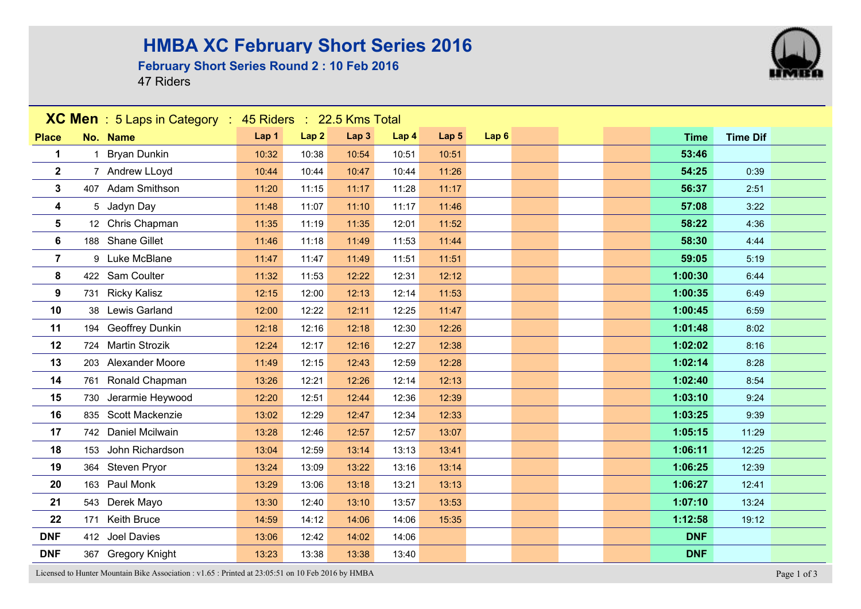### **HMBA XC February Short Series 2016**

#### **February Short Series Round 2 : 10 Feb 2016**

47 Riders



Licensed to Hunter Mountain Bike Association : v1.65 : Printed at 23:05:51 on 10 Feb 2016 by HMBA Page 1 of 3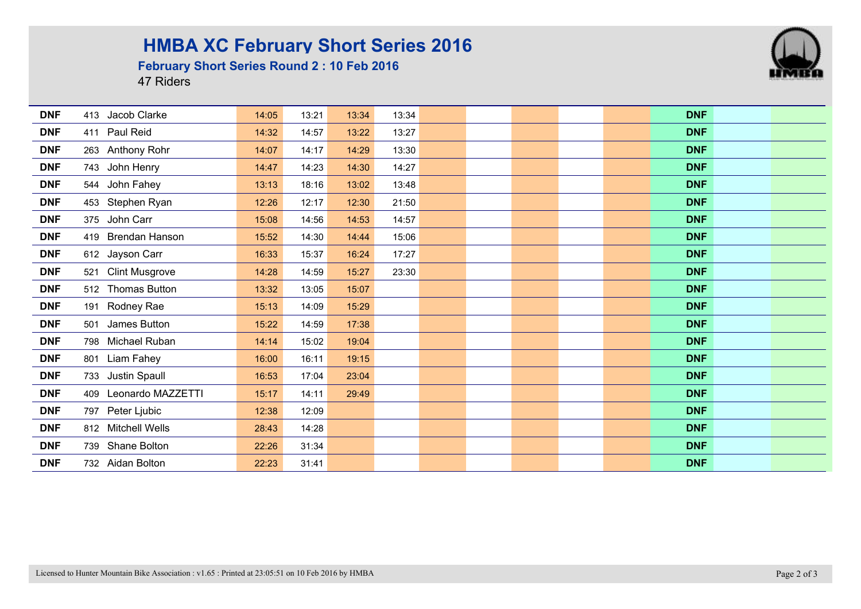## **HMBA XC February Short Series 2016**

#### **February Short Series Round 2 : 10 Feb 2016**

47 Riders



| <b>DNF</b> | 413 Jacob Clarke             | 14:05 | 13:21 | 13:34 | 13:34 |  |  | <b>DNF</b> |  |
|------------|------------------------------|-------|-------|-------|-------|--|--|------------|--|
| <b>DNF</b> | 411 Paul Reid                | 14:32 | 14:57 | 13:22 | 13:27 |  |  | <b>DNF</b> |  |
| <b>DNF</b> | 263 Anthony Rohr             | 14:07 | 14:17 | 14:29 | 13:30 |  |  | <b>DNF</b> |  |
| <b>DNF</b> | 743 John Henry               | 14:47 | 14:23 | 14:30 | 14:27 |  |  | <b>DNF</b> |  |
| <b>DNF</b> | 544 John Fahey               | 13:13 | 18:16 | 13:02 | 13:48 |  |  | <b>DNF</b> |  |
| <b>DNF</b> | 453 Stephen Ryan             | 12:26 | 12:17 | 12:30 | 21:50 |  |  | <b>DNF</b> |  |
| <b>DNF</b> | 375 John Carr                | 15:08 | 14:56 | 14:53 | 14:57 |  |  | <b>DNF</b> |  |
| <b>DNF</b> | 419 Brendan Hanson           | 15:52 | 14:30 | 14:44 | 15:06 |  |  | <b>DNF</b> |  |
| <b>DNF</b> | 612 Jayson Carr              | 16:33 | 15:37 | 16:24 | 17:27 |  |  | <b>DNF</b> |  |
| <b>DNF</b> | <b>Clint Musgrove</b><br>521 | 14:28 | 14:59 | 15:27 | 23:30 |  |  | <b>DNF</b> |  |
| <b>DNF</b> | 512 Thomas Button            | 13:32 | 13:05 | 15:07 |       |  |  | <b>DNF</b> |  |
| <b>DNF</b> | 191 Rodney Rae               | 15:13 | 14:09 | 15:29 |       |  |  | <b>DNF</b> |  |
| <b>DNF</b> | 501 James Button             | 15:22 | 14:59 | 17:38 |       |  |  | <b>DNF</b> |  |
| <b>DNF</b> | 798 Michael Ruban            | 14:14 | 15:02 | 19:04 |       |  |  | <b>DNF</b> |  |
| <b>DNF</b> | 801 Liam Fahey               | 16:00 | 16:11 | 19:15 |       |  |  | <b>DNF</b> |  |
| <b>DNF</b> | 733 Justin Spaull            | 16:53 | 17:04 | 23:04 |       |  |  | <b>DNF</b> |  |
| <b>DNF</b> | 409 Leonardo MAZZETTI        | 15:17 | 14:11 | 29:49 |       |  |  | <b>DNF</b> |  |
| <b>DNF</b> | 797 Peter Ljubic             | 12:38 | 12:09 |       |       |  |  | <b>DNF</b> |  |
| <b>DNF</b> | 812 Mitchell Wells           | 28:43 | 14:28 |       |       |  |  | <b>DNF</b> |  |
| <b>DNF</b> | 739 Shane Bolton             | 22:26 | 31:34 |       |       |  |  | <b>DNF</b> |  |
| <b>DNF</b> | 732 Aidan Bolton             | 22:23 | 31:41 |       |       |  |  | <b>DNF</b> |  |